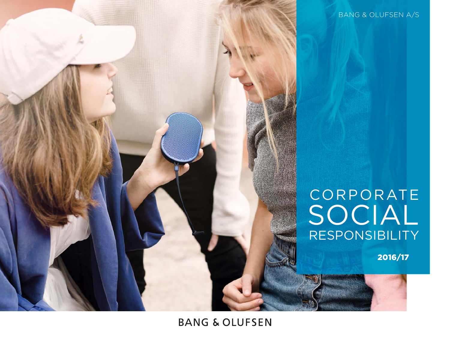

**BANG & OLUFSEN** 

2016/17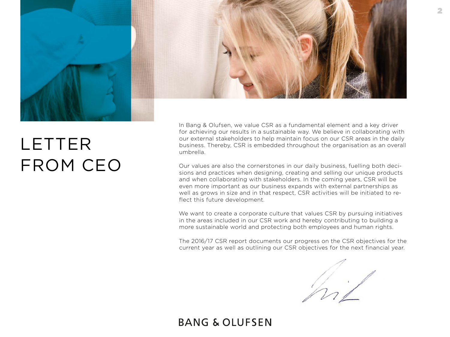<span id="page-1-0"></span>

# LETTER FROM CEO

In Bang & Olufsen, we value CSR as a fundamental element and a key driver for achieving our results in a sustainable way. We believe in collaborating with our external stakeholders to help maintain focus on our CSR areas in the daily business. Thereby, CSR is embedded throughout the organisation as an overall umbrella.

Our values are also the cornerstones in our daily business, fuelling both decisions and practices when designing, creating and selling our unique products and when collaborating with stakeholders. In the coming years, CSR will be even more important as our business expands with external partnerships as well as grows in size and in that respect, CSR activities will be initiated to reflect this future development.

We want to create a corporate culture that values CSR by pursuing initiatives in the areas included in our CSR work and hereby contributing to building a more sustainable world and protecting both employees and human rights.

The 2016/17 CSR report documents our progress on the CSR objectives for the current year as well as outlining our CSR objectives for the next financial year.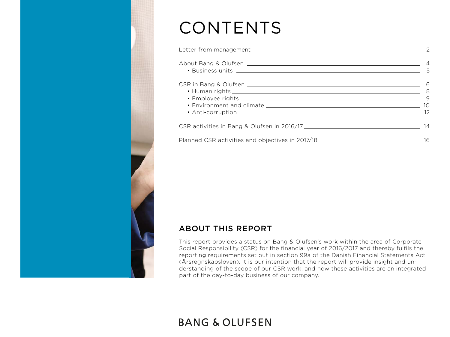# CONTENTS

| • Business units 2000 to the contract of the contract of the contract of the contract of the contract of the contract of the contract of the contract of the contract of the contract of the contract of the contract of the c |    |
|--------------------------------------------------------------------------------------------------------------------------------------------------------------------------------------------------------------------------------|----|
| • Human rights 8                                                                                                                                                                                                               |    |
|                                                                                                                                                                                                                                |    |
| Planned CSR activities and objectives in 2017/18 _______________________________                                                                                                                                               | 16 |

### ABOUT THIS REPORT

This report provides a status on Bang & Olufsen's work within the area of Corporate Social Responsibility (CSR) for the financial year of 2016/2017 and thereby fulfils the reporting requirements set out in section 99a of the Danish Financial Statements Act (Årsregnskabsloven). It is our intention that the report will provide insight and understanding of the scope of our CSR work, and how these activities are an integrated part of the day-to-day business of our company.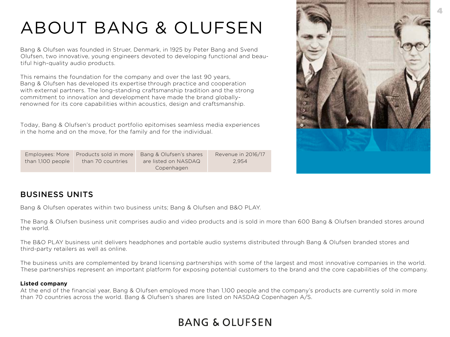# <span id="page-3-0"></span>ABOUT BANG & OLUFSEN

Bang & Olufsen was founded in Struer, Denmark, in 1925 by Peter Bang and Svend Olufsen, two innovative, young engineers devoted to developing functional and beautiful high-quality audio products.

This remains the foundation for the company and over the last 90 years, Bang & Olufsen has developed its expertise through practice and cooperation with external partners. The long-standing craftsmanship tradition and the strong commitment to innovation and development have made the brand globallyrenowned for its core capabilities within acoustics, design and craftsmanship.

Today, Bang & Olufsen's product portfolio epitomises seamless media experiences in the home and on the move, for the family and for the individual.

| Employees: More   | Products sold in more | Bang & Olufsen's shares | Revenue in 2016/17 |
|-------------------|-----------------------|-------------------------|--------------------|
| than 1,100 people | than 70 countries     | are listed on NASDAQ    | 2.954              |
|                   |                       | Copenhagen              |                    |



### BUSINESS UNITS

Bang & Olufsen operates within two business units; Bang & Olufsen and B&O PLAY.

The Bang & Olufsen business unit comprises audio and video products and is sold in more than 600 Bang & Olufsen branded stores around the world.

The B&O PLAY business unit delivers headphones and portable audio systems distributed through Bang & Olufsen branded stores and third-party retailers as well as online.

The business units are complemented by brand licensing partnerships with some of the largest and most innovative companies in the world. These partnerships represent an important platform for exposing potential customers to the brand and the core capabilities of the company.

### **Listed company**

At the end of the financial year, Bang & Olufsen employed more than 1,100 people and the company's products are currently sold in more than 70 countries across the world. Bang & Olufsen's shares are listed on NASDAQ Copenhagen A/S.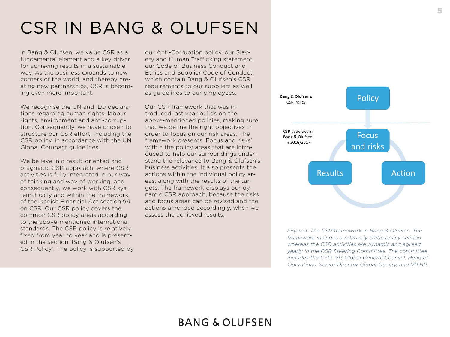# <span id="page-4-0"></span>CSR IN BANG & OLUFSEN

In Bang & Olufsen, we value CSR as a fundamental element and a key driver for achieving results in a sustainable way. As the business expands to new corners of the world, and thereby creating new partnerships, CSR is becoming even more important.

We recognise the UN and ILO declarations regarding human rights, labour rights, environment and anti-corruption. Consequently, we have chosen to structure our CSR effort, including the CSR policy, in accordance with the UN Global Compact guidelines.

We believe in a result-oriented and pragmatic CSR approach, where CSR activities is fully integrated in our way of thinking and way of working, and consequently, we work with CSR systematically and within the framework of the Danish Financial Act section 99 on CSR. Our CSR policy covers the common CSR policy areas according to the above-mentioned international standards. The CSR policy is relatively fixed from year to year and is presented in the section 'Bang & Olufsen's CSR Policy'. The policy is supported by our Anti-Corruption policy, our Slavery and Human Trafficking statement, our Code of Business Conduct and Ethics and Supplier Code of Conduct, which contain Bang & Olufsen's CSR requirements to our suppliers as well as guidelines to our employees.

Our CSR framework that was introduced last year builds on the above-mentioned policies, making sure that we define the right objectives in order to focus on our risk areas. The framework presents 'Focus and risks' within the policy areas that are introduced to help our surroundings understand the relevance to Bang & Olufsen's business activities. It also presents the actions within the individual policy areas, along with the results of the targets. The framework displays our dynamic CSR approach, because the risks and focus areas can be revised and the actions amended accordingly, when we assess the achieved results.



*Figure 1: The CSR framework in Bang & Olufsen. The framework includes a relatively static policy section whereas the CSR activities are dynamic and agreed yearly in the CSR Steering Committee. The committee includes the CFO, VP, Global General Counsel, Head of Operations, Senior Director Global Quality, and VP HR.*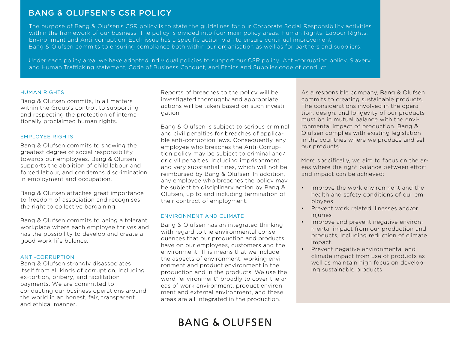### BANG & OLUFSEN'S CSR POLICY

The purpose of Bang & Olufsen's CSR policy is to state the guidelines for our Corporate Social Responsibility activities within the framework of our business. The policy is divided into four main policy areas: Human Rights, Labour Rights, Environment and Anti-corruption. Each issue has a specific action plan to ensure continual improvement. Bang & Olufsen commits to ensuring compliance both within our organisation as well as for partners and suppliers.

Under each policy area, we have adopted individual policies to support our CSR policy: Anti-corruption policy, Slavery and Human Trafficking statement, Code of Business Conduct, and Ethics and Supplier code of conduct.

#### HUMAN RIGHTS

Bang & Olufsen commits, in all matters within the Group's control, to supporting and respecting the protection of internationally proclaimed human rights.

### EMPLOYEE RIGHTS

Bang & Olufsen commits to showing the greatest degree of social responsibility towards our employees. Bang & Olufsen supports the abolition of child labour and forced labour, and condemns discrimination in employment and occupation.

Bang & Olufsen attaches great importance to freedom of association and recognises the right to collective bargaining.

Bang & Olufsen commits to being a tolerant workplace where each employee thrives and has the possibility to develop and create a good work-life balance.

### ANTI-CORRUPTION

Bang & Olufsen strongly disassociates itself from all kinds of corruption, including ex-tortion, bribery, and facilitation payments. We are committed to conducting our business operations around the world in an honest, fair, transparent and ethical manner.

Reports of breaches to the policy will be investigated thoroughly and appropriate actions will be taken based on such investigation.

Bang & Olufsen is subject to serious criminal and civil penalties for breaches of applicable anti-corruption laws. Consequently, any employee who breaches the Anti-Corruption policy may be subject to criminal and/ or civil penalties, including imprisonment and very substantial fines, which will not be reimbursed by Bang & Olufsen. In addition, any employee who breaches the policy may be subject to disciplinary action by Bang & Olufsen, up to and including termination of their contract of employment.

#### ENVIRONMENT AND CLIMATE

Bang & Olufsen has an integrated thinking with regard to the environmental consequences that our production and products have on our employees, customers and the environment. This means that we include the aspects of environment, working environment and product environment in the production and in the products. We use the word "environment" broadly to cover the areas of work environment, product environment and external environment, and these areas are all integrated in the production.

**BANG & OLUFSEN** 

As a responsible company, Bang & Olufsen commits to creating sustainable products. The considerations involved in the operation, design, and longevity of our products must be in mutual balance with the environmental impact of production. Bang & Olufsen complies with existing legislation in the countries where we produce and sell our products.

More specifically, we aim to focus on the areas where the right balance between effort and impact can be achieved:

- Improve the work environment and the health and safety conditions of our employees
- Prevent work related illnesses and/or injuries
- Improve and prevent negative environmental impact from our production and products, including reduction of climate impact.
- Prevent negative environmental and climate impact from use of products as well as maintain high focus on developing sustainable products.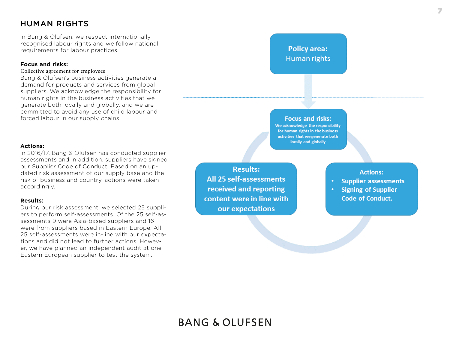### <span id="page-6-0"></span>HUMAN RIGHTS

In Bang & Olufsen, we respect internationally recognised labour rights and we follow national requirements for labour practices.

### **Focus and risks:**

#### Collective agreement for employees

Bang & Olufsen's business activities generate a demand for products and services from global suppliers. We acknowledge the responsibility for human rights in the business activities that we generate both locally and globally, and we are committed to avoid any use of child labour and forced labour in our supply chains.

### **Actions:**

In 2016/17, Bang & Olufsen has conducted supplier assessments and in addition, suppliers have signed our Supplier Code of Conduct. Based on an updated risk assessment of our supply base and the risk of business and country, actions were taken accordingly.

#### **Results:**

During our risk assessment, we selected 25 suppliers to perform self-assessments. Of the 25 self-assessments 9 were Asia-based suppliers and 16 were from suppliers based in Eastern Europe. All 25 self-assessments were in-line with our expectations and did not lead to further actions. However, we have planned an independent audit at one Eastern European supplier to test the system.

**Results:** All 25 self-assessments received and reporting content were in line with our expectations

### **Policy area:** Human rights

**Focus and risks:** We acknowledge the responsibility for human rights in the business activities that we generate both locally and globally

**Actions:** 

- **Supplier assessments**
- **Signing of Supplier Code of Conduct.**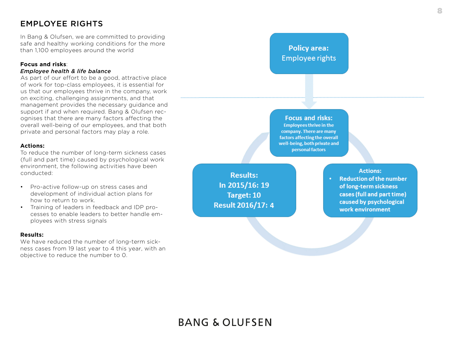### <span id="page-7-0"></span>EMPLOYEE RIGHTS

In Bang & Olufsen, we are committed to providing saf e and health y working condition s for the mo re than 1,100 employees around the world

### **Focus and risks**:

#### *Employee health & life balance*

As part of our effort to be a good, attractive place of work for top-class employees, it is essential for us that our employees thrive in the company, work on exciting, challenging assignments, and that management provides the necessary guidance and support if and when required. Bang & Olufsen rec ognises that there are many factors affecting the overall well-being of our employees, and that both private and personal factors may play a role.

### **Actions:**

To reduce the number of long-term sickness cases (full and part time) caused by psychological work environment, the following activities have been conducted:

- Pro-active follow-up on stress cases and development of individual action plans for how to return to work.
- Training of leaders in feedback and IDP pro cesses to enable leaders to better handle em ployees with stress signals

#### **Res u lts:**

We have reduced the number of long-term sickn e s s cases from 19 la st year to 4 this year, wi th an objective to reduce the number to 0.

**Results:** In 2015/16: 19 Target: 10 **Result 2016/17: 4** 

### **Policy area: Employee rights**

**Focus and risks:** 

**Employees thrive in the** company. There are many factors affecting the overall well-being, both private and personal factors

**Actions:** 

**Reduction of the number** of long-term sickness cases (full and part time) caused by psychological work environment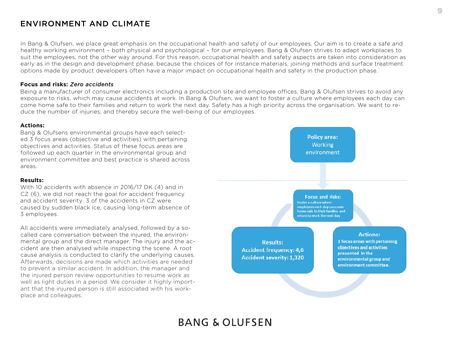### <span id="page-8-0"></span>ENVIRONMENT AND CLIMATE

In Bang & Olufsen, we place great emphasis on the occupational health and safety of our employees. Our aim is to create a safe and healthy working environment – both physical and psychological – for our employees. Bang & Olufsen strives to adapt workplaces to suit the employees, not the other way around. For this reason, occupational health and safety aspects are taken into consideration as early as in the design and development phase, because the choices of for instance materials, joining methods and surface treatment options made by product developers often have a major impact on occupational health and safety in the production phase.

### **Focus and risks:** *Zero accidents*

Being a manufacturer of consumer electronics including a production site and employee offices, Bang & Olufsen strives to avoid any exposure to risks, which may cause accidents at work. In Bang & Olufsen, we want to foster a culture where employees each day can come home safe to their families and return to work the next day. Safety has a high priority across the organisation. We want to reduce the number of injuries, and thereby secure the well-being of our employees.

### **Actions:**

Bang & Olufsens environmental groups have each selected 3 focus areas (objective and activities) with pertaining objectives and activities. Status of these focus areas are followed up each quarter in the environmental group and environment committee and best practice is shared across areas.

### **Results:**

With 10 accidents with absence in 2016/17 DK (4) and in CZ (6), we did not reach the goal for accident frequency and accident severity. 3 of the accidents in CZ were caused by sudden black ice, causing long-term absence of 3 employees.

All accidents were immediately analysed, followed by a socalled care conversation between the injured, the environmental group and the direct manager. The injury and the accident are then analysed while inspecting the scene. A root cause analysis is conducted to clarify the underlying causes. Afterwards, decisions are made which activities are needed to prevent a similar accident. In addition, the manager and the injured person review opportunities to resume work as well as light duties in a period. We consider it highly important that the injured person is still associated with his workplace and colleagues.

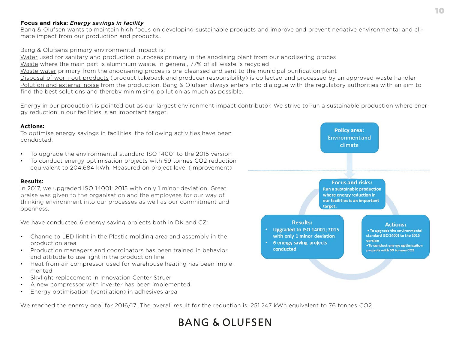### **Focus and risks:** *Energy savings in facility*

Bang & Olufsen wants to maintain high focus on developing sustainable products and improve and prevent negative environmental and climate impact from our production and products..

Bang & Olufsens primary environmental impact is:

Water used for sanitary and production purposes primary in the anodising plant from our anodisering proces

Waste where the main part is aluminium waste. In general, 77% of all waste is recycled

Waste water primary from the anodisering proces is pre-cleansed and sent to the municipal purification plant

Disposal of worn-out products (product takeback and producer responsibility) is collected and processed by an approved waste handler Polution and external noise from the production. Bang & Olufsen always enters into dialogue with the regulatory authorities with an aim to find the best solutions and thereby minimising pollution as much as possible.

Energy in our production is pointed out as our largest environment impact contributor. We strive to run a sustainable production where energy reduction in our facilities is an important target.

### **Actions:**

To optimise energy savings in facilities, the following activities have been conducted:

- To upgrade the environmental standard ISO 14001 to the 2015 version
- To conduct energy optimisation projects with 59 tonnes CO2 reduction equivalent to 204.684 kWh. Measured on project level (improvement)

### **Results:**

In 2017, we upgraded ISO 14001; 2015 with only 1 minor deviation. Great praise was given to the organisation and the employees for our way of thinking environment into our processes as well as our commitment and openness.

We have conducted 6 energy saving projects both in DK and CZ:

- Change to LED light in the Plastic molding area and assembly in the production area
- Production managers and coordinators has been trained in behavior and attitude to use light in the production line
- Heat from air compressor used for warehouse heating has been implemented
- Skylight replacement in Innovation Center Struer
- A new compressor with inverter has been implemented
- Energy optimisation (ventilation) in adhesives area

We reached the energy goal for 2016/17. The overall result for the reduction is: 251.247 kWh equivalent to 76 tonnes CO2.

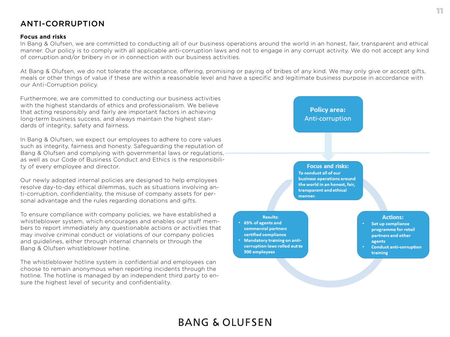## **BANG & OLUFSEN**

11

### <span id="page-10-0"></span>ANTI-CORRUPTION

### **Focus and risks**

In Bang & Olufsen, we are committed to conducting all of our business operations around the world in an honest, fair, transparent and ethical manner. Our policy is to comply with all applicable anti-corruption laws and not to engage in any corrupt activity. We do not accept any kind of corruption and/or bribery in or in connection with our business activities.

At Bang & Olufsen, we do not tolerate the acceptance, offering, promising or paying of bribes of any kind. We may only give or accept gifts, meals or other things of value if these are within a reasonable level and have a specific and legitimate business purpose in accordance with our Anti-Corruption policy.

Furthermore, we are committed to conducting our business activities with the highest standards of ethics and professionalism. We believe that acting responsibly and fairly are important factors in achieving long-term business success, and always maintain the highest standards of integrity, safety and fairness.

In Bang & Olufsen, we expect our employees to adhere to core values such as integrity, fairness and honesty. Safeguarding the reputation of Bang & Olufsen and complying with governmental laws or regulations, as well as our Code of Business Conduct and Ethics is the responsibility of every employee and director.

Our newly adopted internal policies are designed to help employees resolve day-to-day ethical dilemmas, such as situations involving anti-corruption, confidentiality, the misuse of company assets for personal advantage and the rules regarding donations and gifts.

To ensure compliance with company policies, we have established a whistleblower system, which encourages and enables our staff members to report immediately any questionable actions or activities that may involve criminal conduct or violations of our company policies and guidelines, either through internal channels or through the Bang & Olufsen whistleblower hotline.

The whistleblower hotline system is confidential and employees can choose to remain anonymous when reporting incidents through the hotline. The hotline is managed by an independent third party to ensure the highest level of security and confidentiality.

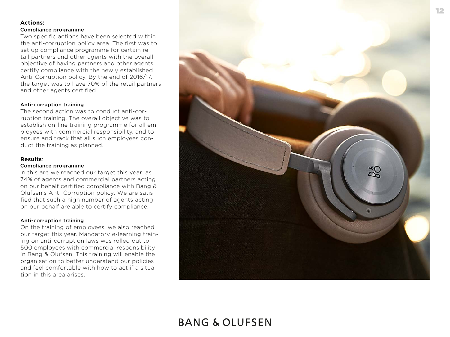### **Actions:**

#### Compliance programme

Two specific actions have been selected within the anti-corruption policy area. The first was to set up compliance programme for certain retail partners and other agents with the overall objective of having partners and other agents certify compliance with the newly established Anti-Corruption policy. By the end of 2016/17, the target was to have 70% of the retail partners and other agents certified.

#### Anti-corruption training

The second action was to conduct anti-corruption training. The overall objective was to establish on-line training programme for all employees with commercial responsibility, and to ensure and track that all such employees conduct the training as planned.

#### **Results**:

#### Compliance programme

In this are we reached our target this year, as 74% of agents and commercial partners acting on our behalf certified compliance with Bang & Olufsen's Anti-Corruption policy. We are satisfied that such a high number of agents acting on our behalf are able to certify compliance.

#### Anti-corruption training

On the training of employees, we also reached our target this year. Mandatory e-learning training on anti-corruption laws was rolled out to 500 employees with commercial responsibility in Bang & Olufsen. This training will enable the organisation to better understand our policies and feel comfortable with how to act if a situation in this area arises.

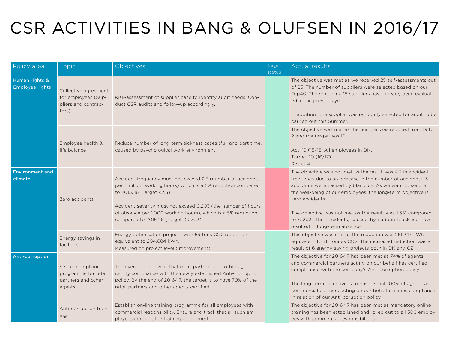# <span id="page-12-0"></span>CSR ACTIVITIES IN BANG & OLUFSEN IN 2016/17

| Policy area                       | Topic                                                                       | Objectives                                                                                                                                                                                                                                                                                                                       | Target<br>status | Actual results                                                                                                                                                                                                                                                                                                                                                                                                                     |
|-----------------------------------|-----------------------------------------------------------------------------|----------------------------------------------------------------------------------------------------------------------------------------------------------------------------------------------------------------------------------------------------------------------------------------------------------------------------------|------------------|------------------------------------------------------------------------------------------------------------------------------------------------------------------------------------------------------------------------------------------------------------------------------------------------------------------------------------------------------------------------------------------------------------------------------------|
| Human rights &<br>Employee rights | Collective agreement<br>for employees (Sup-<br>pliers and contrac-<br>tors) | Risk-assessment of supplier base to identify audit needs. Con-<br>duct CSR audits and follow-up accordingly.                                                                                                                                                                                                                     |                  | The objective was met as we received 25 self-assessments out<br>of 25. The number of suppliers were selected based on our<br>Top40. The remaining 15 suppliers have already been evaluat-<br>ed in the previous years.<br>In addition, one supplier was randomly selected for audit to be<br>carried out this Summer.                                                                                                              |
|                                   | Employee health &<br>life balance                                           | Reduce number of long-term sickness cases (full and part time)<br>caused by psychological work environment                                                                                                                                                                                                                       |                  | The objective was met as the number was reduced from 19 to<br>2 and the target was 10.<br>Act: 19 (15/16; All employees in DK)<br>Target: 10 (16/17)<br>Result 4                                                                                                                                                                                                                                                                   |
| <b>Environment and</b><br>climate | Zero accidents                                                              | Accident frequency must not exceed 2.5 (number of accidents<br>per 1 million working hours) which is a 5% reduction compared<br>to 2015/16 (Target <2.5)<br>Accident severity must not exceed 0.203 (the number of hours<br>of absence per 1,000 working hours), which is a 5% reduction<br>compared to 2015/16 (Target <0.203). |                  | The objective was not met as the result was 4.2 in accident<br>frequency due to an increase in the number of accidents. 3<br>accidents were caused by black ice. As we want to secure<br>the well-being of our employees, the long-term objective is<br>zero accidents<br>The objective was not met as the result was 1.351 compared<br>to 0.203. The accidents, caused by sudden black ice have<br>resulted in long-term absence. |
|                                   | Energy savings in<br>facilities                                             | Energy optimisation projects with 59 tons CO2 reduction<br>equivalent to 204,684 kWh.<br>Measured on project level (improvement)                                                                                                                                                                                                 |                  | This objective was met as the reduction was 251.247 kWh<br>equivalent to 76 tonnes CO2. The increased reduction was a<br>result of 6 energy saving projects both in DK and CZ.                                                                                                                                                                                                                                                     |
| Anti-corruption                   | Set up compliance<br>programme for retail<br>partners and other<br>agents   | The overall objective is that retail partners and other agents<br>certify compliance with the newly established Anti-Corruption<br>policy. By the end of 2016/17, the target is to have 70% of the<br>retail partners and other agents certified.                                                                                |                  | The objective for 2016/17 has been met as 74% of agents<br>and commercial partners acting on our behalf has certified<br>compli-ance with the company's Anti-corruption policy.<br>The long-term objective is to ensure that 100% of agents and<br>commercial partners acting on our behalf certifies compliance<br>in relation of our Anti-coruption policy.                                                                      |
|                                   | Anti-corruption train-<br>ing                                               | Establish on-line training programme for all employees with<br>commercial responsibility. Ensure and track that all such em-<br>ployees conduct the training as planned.                                                                                                                                                         |                  | The objective for 2016/17 has been met as mandatory online<br>training has been established and rolled out to all 500 employ-<br>ees with commercial responsibilities.                                                                                                                                                                                                                                                             |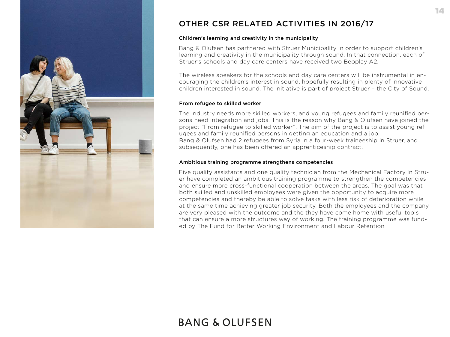

### OTHER CSR RELATED ACTIVITIES IN 2016/17

### Children's learning and creativity in the municipality

Bang & Olufsen has partnered with Struer Municipality in order to support children's learning and creativity in the municipality through sound. In that connection, each of Struer's schools and day care centers have received two Beoplay A2.

The wireless speakers for the schools and day care centers will be instrumental in encouraging the children's interest in sound, hopefully resulting in plenty of innovative children interested in sound. The initiative is part of project Struer – the City of Sound.

### From refugee to skilled worker

The industry needs more skilled workers, and young refugees and family reunified persons need integration and jobs. This is the reason why Bang & Olufsen have joined the project "From refugee to skilled worker". The aim of the project is to assist young refugees and family reunified persons in getting an education and a job. Bang & Olufsen had 2 refugees from Syria in a four-week traineeship in Struer, and subsequently, one has been offered an apprenticeship contract.

#### Ambitious training programme strengthens competencies

Five quality assistants and one quality technician from the Mechanical Factory in Struer have completed an ambitious training programme to strengthen the competencies and ensure more cross-functional cooperation between the areas. The goal was that both skilled and unskilled employees were given the opportunity to acquire more competencies and thereby be able to solve tasks with less risk of deterioration while at the same time achieving greater job security. Both the employees and the company are very pleased with the outcome and the they have come home with useful tools that can ensure a more structures way of working. The training programme was funded by The Fund for Better Working Environment and Labour Retention